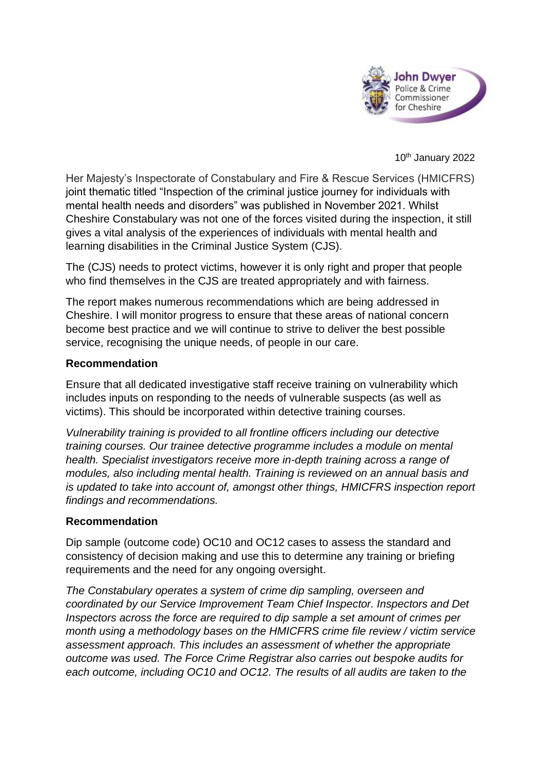

10th January 2022

Her Majesty's Inspectorate of Constabulary and Fire & Rescue Services (HMICFRS) joint thematic titled "Inspection of the criminal justice journey for individuals with mental health needs and disorders" was published in November 2021. Whilst Cheshire Constabulary was not one of the forces visited during the inspection, it still gives a vital analysis of the experiences of individuals with mental health and learning disabilities in the Criminal Justice System (CJS).

The (CJS) needs to protect victims, however it is only right and proper that people who find themselves in the CJS are treated appropriately and with fairness.

The report makes numerous recommendations which are being addressed in Cheshire. I will monitor progress to ensure that these areas of national concern become best practice and we will continue to strive to deliver the best possible service, recognising the unique needs, of people in our care.

## **Recommendation**

Ensure that all dedicated investigative staff receive training on vulnerability which includes inputs on responding to the needs of vulnerable suspects (as well as victims). This should be incorporated within detective training courses.

*Vulnerability training is provided to all frontline officers including our detective training courses. Our trainee detective programme includes a module on mental health. Specialist investigators receive more in-depth training across a range of modules, also including mental health. Training is reviewed on an annual basis and is updated to take into account of, amongst other things, HMICFRS inspection report findings and recommendations.*

## **Recommendation**

Dip sample (outcome code) OC10 and OC12 cases to assess the standard and consistency of decision making and use this to determine any training or briefing requirements and the need for any ongoing oversight.

*The Constabulary operates a system of crime dip sampling, overseen and coordinated by our Service Improvement Team Chief Inspector. Inspectors and Det Inspectors across the force are required to dip sample a set amount of crimes per month using a methodology bases on the HMICFRS crime file review / victim service assessment approach. This includes an assessment of whether the appropriate outcome was used. The Force Crime Registrar also carries out bespoke audits for each outcome, including OC10 and OC12. The results of all audits are taken to the*